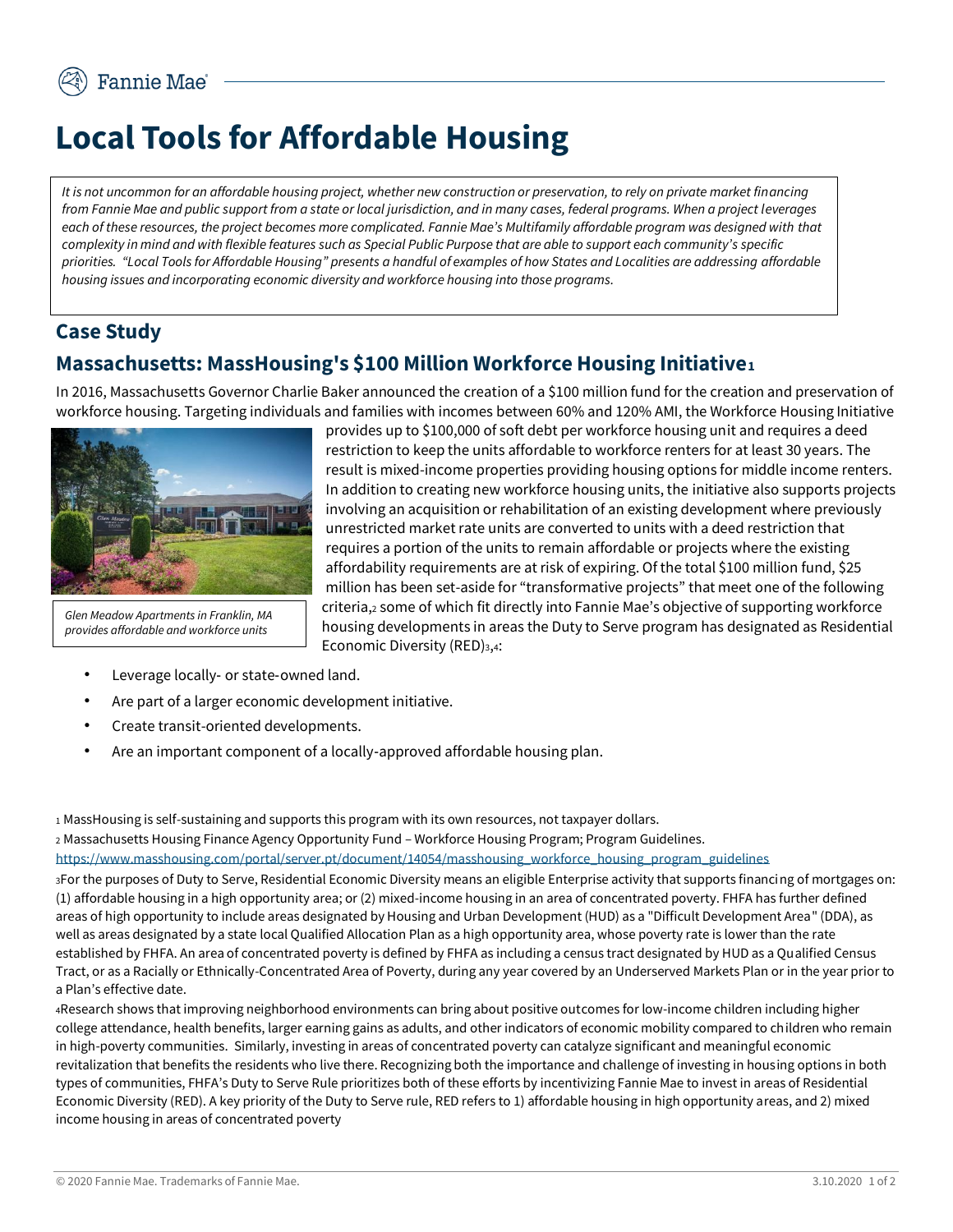## **Local Tools for Affordable Housing**

*It is not uncommon for an affordable housing project, whether new construction or preservation, to rely on private market financing from Fannie Mae and public support from a state or local jurisdiction, and in many cases, federal programs. When a project leverages*  each of these resources, the project becomes more complicated. Fannie Mae's Multifamily affordable program was designed with that *complexity in mind and with flexible features such as Special Public Purpose that are able to support each community's specific priorities. "Local Tools for Affordable Housing" presents a handful of examples of how States and Localities are addressing affordable housing issues and incorporating economic diversity and workforce housing into those programs.* 

## **Case Study**

## **Massachusetts: MassHousing's \$100 Million Workforce Housing Initiative<sup>1</sup>**

In 2016, Massachusetts Governor Charlie Baker announced the creation of a \$100 million fund for the creation and preservation of workforce housing. Targeting individuals and families with incomes between 60% and 120% AMI, the Workforce Housing Initiative



*Glen Meadow Apartments in Franklin, MA provides affordable and workforce units*

provides up to \$100,000 of soft debt per workforce housing unit and requires a deed restriction to keep the units affordable to workforce renters for at least 30 years. The result is mixed-income properties providing housing options for middle income renters. In addition to creating new workforce housing units, the initiative also supports projects involving an acquisition or rehabilitation of an existing development where previously unrestricted market rate units are converted to units with a deed restriction that requires a portion of the units to remain affordable or projects where the existing affordability requirements are at risk of expiring. Of the total \$100 million fund, \$25 million has been set-aside for "transformative projects" that meet one of the following criteria,<sup>2</sup> some of which fit directly into Fannie Mae's objective of supporting workforce housing developments in areas the Duty to Serve program has designated as Residential Economic Diversity (RED)3,4:

- Leverage locally‐ or state‐owned land.
- Are part of a larger economic development initiative.
- Create transit-oriented developments.
- Are an important component of a locally‐approved affordable housing plan.

<sup>1</sup> MassHousing is self-sustaining and supports this program with its own resources, not taxpayer dollars.

<sup>2</sup> Massachusetts Housing Finance Agency Opportunity Fund – Workforce Housing Program; Program Guidelines. [https://www.masshousing.com/portal/server.pt/document/14054/masshousing\\_workforce\\_housing\\_program\\_guidelines](https://www.masshousing.com/portal/server.pt/document/14054/masshousing_workforce_housing_program_guidelines) 

<sup>3</sup>For the purposes of Duty to Serve, Residential Economic Diversity means an eligible Enterprise activity that supports financing of mortgages on: (1) affordable housing in a high opportunity area; or (2) mixed-income housing in an area of concentrated poverty. FHFA has further defined areas of high opportunity to include areas designated by Housing and Urban Development (HUD) as a "Difficult Development Area" (DDA), as well as areas designated by a state local Qualified Allocation Plan as a high opportunity area, whose poverty rate is lower than the rate established by FHFA. An area of concentrated poverty is defined by FHFA as including a census tract designated by HUD as a Qualified Census Tract, or as a Racially or Ethnically-Concentrated Area of Poverty, during any year covered by an Underserved Markets Plan or in the year prior to a Plan's effective date.

<sup>4</sup>Research shows that improving neighborhood environments can bring about positive outcomes for low-income children including higher college attendance, health benefits, larger earning gains as adults, and other indicators of economic mobility compared to children who remain in high-poverty communities. Similarly, investing in areas of concentrated poverty can catalyze significant and meaningful economic revitalization that benefits the residents who live there. Recognizing both the importance and challenge of investing in housing options in both types of communities, FHFA's Duty to Serve Rule prioritizes both of these efforts by incentivizing Fannie Mae to invest in areas of Residential Economic Diversity (RED). A key priority of the Duty to Serve rule, RED refers to 1) affordable housing in high opportunity areas, and 2) mixed income housing in areas of concentrated poverty